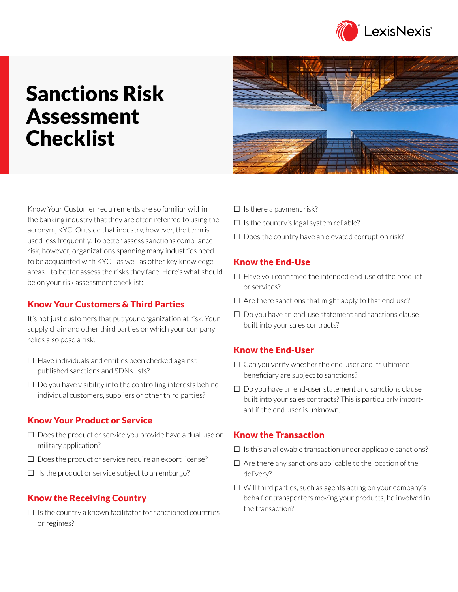

# Sanctions Risk Assessment Checklist

Know Your Customer requirements are so familiar within the banking industry that they are often referred to using the acronym, KYC. Outside that industry, however, the term is used less frequently. To better assess sanctions compliance risk, however, organizations spanning many industries need to be acquainted with KYC—as well as other key knowledge areas—to better assess the risks they face. Here's what should be on your risk assessment checklist:

## Know Your Customers & Third Parties

It's not just customers that put your organization at risk. Your supply chain and other third parties on which your company relies also pose a risk.

- $\Box$  Have individuals and entities been checked against published sanctions and SDNs lists?
- $\Box$  Do you have visibility into the controlling interests behind individual customers, suppliers or other third parties?

## Know Your Product or Service

- $\square$  Does the product or service you provide have a dual-use or military application?
- $\square$  Does the product or service require an export license?
- $\Box$  Is the product or service subject to an embargo?

## Know the Receiving Country

 $\Box$  Is the country a known facilitator for sanctioned countries or regimes?



- $\Box$  Is there a payment risk?
- $\Box$  Is the country's legal system reliable?
- $\Box$  Does the country have an elevated corruption risk?

### Know the End-Use

- $\Box$  Have you confirmed the intended end-use of the product or services?
- $\Box$  Are there sanctions that might apply to that end-use?
- $\Box$  Do you have an end-use statement and sanctions clause built into your sales contracts?

## Know the End-User

- $\Box$  Can you verify whether the end-user and its ultimate beneficiary are subject to sanctions?
- $\Box$  Do you have an end-user statement and sanctions clause built into your sales contracts? This is particularly important if the end-user is unknown.

## Know the Transaction

- $\Box$  Is this an allowable transaction under applicable sanctions?
- $\Box$  Are there any sanctions applicable to the location of the delivery?
- $\Box$  Will third parties, such as agents acting on your company's behalf or transporters moving your products, be involved in the transaction?